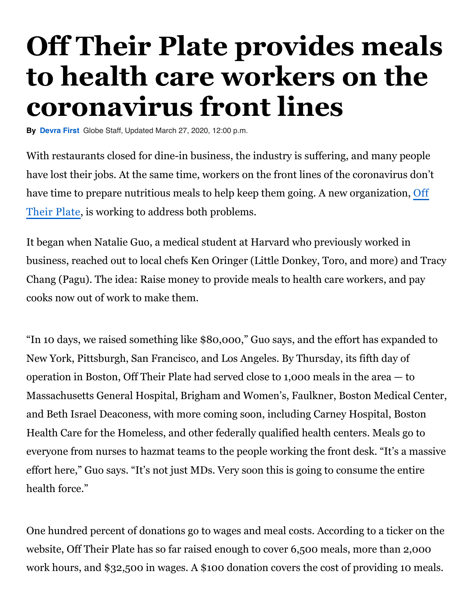## **Off Their Plate provides meals to health care workers on the coronavirus front lines**

**By [Devra First](https://www.bostonglobe.com/staff/first?p1=Article_Byline)** Globe Staff, Updated March 27, 2020, 12:00 p.m.

With restaurants closed for dine-in business, the industry is suffering, and many people have lost their jobs. At the same time, workers on the front lines of the coronavirus don't [have time to prepare nutritious meals to help keep them going. A new organization,](https://offtheirplate.org/) Off Their Plate, is working to address both problems.

It began when Natalie Guo, a medical student at Harvard who previously worked in business, reached out to local chefs Ken Oringer (Little Donkey, Toro, and more) and Tracy Chang (Pagu). The idea: Raise money to provide meals to health care workers, and pay cooks now out of work to make them.

"In 10 days, we raised something like \$80,000," Guo says, and the effort has expanded to New York, Pittsburgh, San Francisco, and Los Angeles. By Thursday, its fifth day of operation in Boston, Off Their Plate had served close to 1,000 meals in the area — to Massachusetts General Hospital, Brigham and Women's, Faulkner, Boston Medical Center, and Beth Israel Deaconess, with more coming soon, including Carney Hospital, Boston Health Care for the Homeless, and other federally qualified health centers. Meals go to everyone from nurses to hazmat teams to the people working the front desk. "It's a massive effort here," Guo says. "It's not just MDs. Very soon this is going to consume the entire health force."

One hundred percent of donations go to wages and meal costs. According to a ticker on the website, Off Their Plate has so far raised enough to cover 6,500 meals, more than 2,000 work hours, and \$32,500 in wages. A \$100 donation covers the cost of providing 10 meals.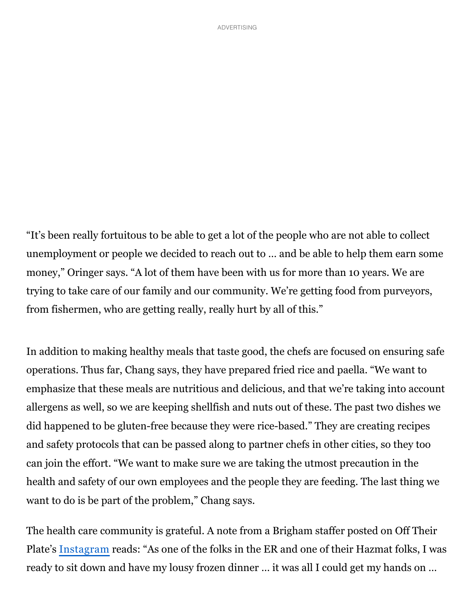"It's been really fortuitous to be able to get a lot of the people who are not able to collect unemployment or people we decided to reach out to … and be able to help them earn some money," Oringer says. "A lot of them have been with us for more than 10 years. We are trying to take care of our family and our community. We're getting food from purveyors, from fishermen, who are getting really, really hurt by all of this."

In addition to making healthy meals that taste good, the chefs are focused on ensuring safe operations. Thus far, Chang says, they have prepared fried rice and paella. "We want to emphasize that these meals are nutritious and delicious, and that we're taking into account allergens as well, so we are keeping shellfish and nuts out of these. The past two dishes we did happened to be gluten-free because they were rice-based." They are creating recipes and safety protocols that can be passed along to partner chefs in other cities, so they too can join the effort. "We want to make sure we are taking the utmost precaution in the health and safety of our own employees and the people they are feeding. The last thing we want to do is be part of the problem," Chang says.

The health care community is grateful. A note from a Brigham staffer posted on Off Their Plate's [Instagram](https://www.instagram.com/offtheirplate/) reads: "As one of the folks in the ER and one of their Hazmat folks, I was ready to sit down and have my lousy frozen dinner … it was all I could get my hands on …